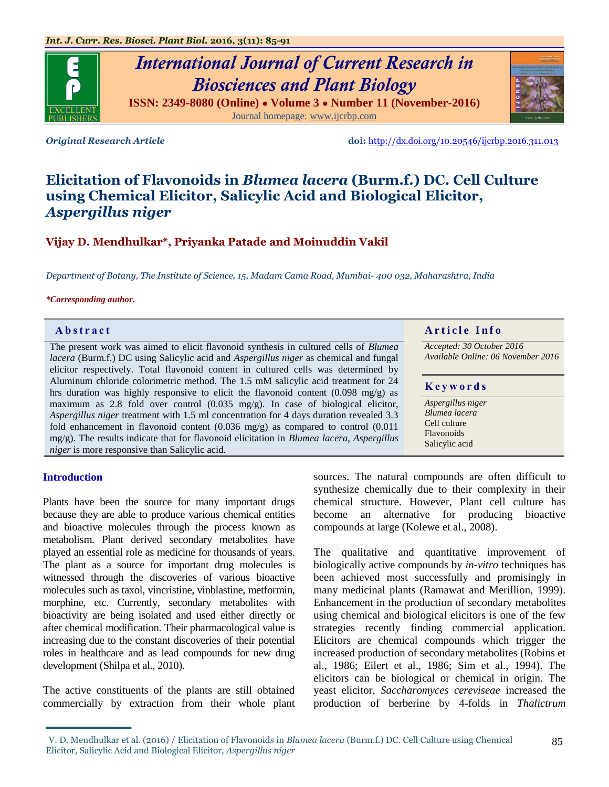

Journal homepage: [www.ijcrbp.com](http://www.ijcrbp.com/)

*Original Research Article* **doi:** <http://dx.doi.org/10.20546/ijcrbp.2016.311.013>

# **Elicitation of Flavonoids in** *Blumea lacera* **(Burm.f.) DC. Cell Culture using Chemical Elicitor, Salicylic Acid and Biological Elicitor,**  *Aspergillus niger*

## **Vijay D. Mendhulkar\*, Priyanka Patade and Moinuddin Vakil**

*Department of Botany, The Institute of Science, 15, Madam Cama Road, Mumbai- 400 032, Maharashtra, India*

#### *\*Corresponding author.*

The present work was aimed to elicit flavonoid synthesis in cultured cells of *Blumea lacera* (Burm.f.) DC using Salicylic acid and *Aspergillus niger* as chemical and fungal elicitor respectively. Total flavonoid content in cultured cells was determined by Aluminum chloride colorimetric method. The 1.5 mM salicylic acid treatment for 24 hrs duration was highly responsive to elicit the flavonoid content (0.098 mg/g) as maximum as 2.8 fold over control (0.035 mg/g). In case of biological elicitor, *Aspergillus niger* treatment with 1.5 ml concentration for 4 days duration revealed 3.3 fold enhancement in flavonoid content  $(0.036 \text{ mg/g})$  as compared to control  $(0.011$ mg/g). The results indicate that for flavonoid elicitation in *Blumea lacera*, *Aspergillus niger* is more responsive than Salicylic acid.

#### **Introduction**

Plants have been the source for many important drugs because they are able to produce various chemical entities and bioactive molecules through the process known as metabolism. Plant derived secondary metabolites have played an essential role as medicine for thousands of years. The plant as a source for important drug molecules is witnessed through the discoveries of various bioactive molecules such as taxol, vincristine, vinblastine, metformin, morphine, etc. Currently, secondary metabolites with bioactivity are being isolated and used either directly or after chemical modification. Their pharmacological value is increasing due to the constant discoveries of their potential roles in healthcare and as lead compounds for new drug development (Shilpa et al., 2010).

The active constituents of the plants are still obtained commercially by extraction from their whole plant

**Abstract And a reduced by a reduced by a reduced by a reduced by a reduced by a reduced by a reduced by a reduced by a reduced by a reduced by a reduced by a reduced by a reduced by a reduced by a reduced by a reduced b** 

*Accepted: 30 October 2016 Available Online: 06 November 2016*

## **K e y w o r d s**

*Aspergillus niger Blumea lacera* Cell culture Flavonoids Salicylic acid

sources. The natural compounds are often difficult to synthesize chemically due to their complexity in their chemical structure. However, Plant cell culture has become an alternative for producing bioactive compounds at large (Kolewe et al., 2008).

The qualitative and quantitative improvement of biologically active compounds by *in-vitro* techniques has been achieved most successfully and promisingly in many medicinal plants (Ramawat and Merillion, 1999). Enhancement in the production of secondary metabolites using chemical and biological elicitors is one of the few strategies recently finding commercial application. Elicitors are chemical compounds which trigger the increased production of secondary metabolites (Robins et al., 1986; Eilert et al., 1986; Sim et al., 1994). The elicitors can be biological or chemical in origin. The yeast elicitor, *Saccharomyces cereviseae* increased the production of berberine by 4-folds in *Thalictrum* 

V. D. Mendhulkar et al. (2016) / Elicitation of Flavonoids in *Blumea lacera* (Burm.f.) DC. Cell Culture using Chemical Elicitor, Salicylic Acid and Biological Elicitor, *Aspergillus niger*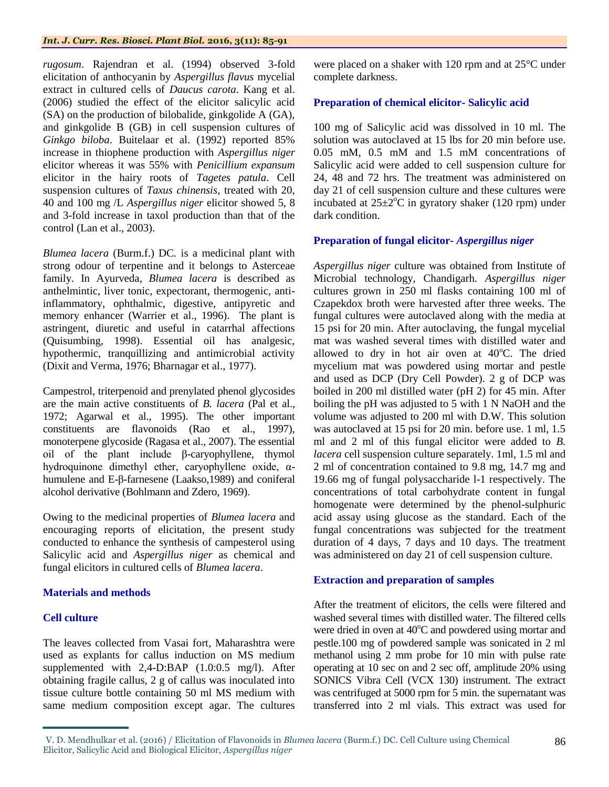## *Int. J. Curr. Res. Biosci. Plant Biol.* **2016, 3(11): 85-91**

*rugosum*. Rajendran et al. (1994) observed 3-fold elicitation of anthocyanin by *Aspergillus flavus* mycelial extract in cultured cells of *Daucus carota*. Kang et al. (2006) studied the effect of the elicitor salicylic acid (SA) on the production of bilobalide, ginkgolide A (GA), and ginkgolide B (GB) in cell suspension cultures of *Ginkgo biloba*. Buitelaar et al. (1992) reported 85% increase in thiophene production with *Aspergillus niger* elicitor whereas it was 55% with *Penicillium expansum* elicitor in the hairy roots of *Tagetes patula*. Cell suspension cultures of *Taxus chinensis*, treated with 20, 40 and 100 mg /L *Aspergillus niger* elicitor showed 5, 8 and 3-fold increase in taxol production than that of the control (Lan et al., 2003).

*Blumea lacera* (Burm.f.) DC*.* is a medicinal plant with strong odour of terpentine and it belongs to Asterceae family. In Ayurveda, *Blumea lacera* is described as anthelmintic, liver tonic, expectorant, thermogenic, antiinflammatory, ophthalmic, digestive, antipyretic and memory enhancer (Warrier et al., 1996). The plant is astringent, diuretic and useful in catarrhal affections (Quisumbing, 1998). Essential oil has analgesic, hypothermic, tranquillizing and antimicrobial activity (Dixit and Verma, 1976; Bharnagar et al., 1977).

Campestrol, triterpenoid and prenylated phenol glycosides are the main active constituents of *B. lacera* (Pal et al., 1972; Agarwal et al., 1995). The other important constituents are flavonoids (Rao et al., 1997), monoterpene glycoside (Ragasa et al., 2007). The essential oil of the plant include β-caryophyllene, thymol hydroquinone dimethyl ether, caryophyllene oxide, αhumulene and E-β-farnesene (Laakso,1989) and coniferal alcohol derivative (Bohlmann and Zdero, 1969).

Owing to the medicinal properties of *Blumea lacera* and encouraging reports of elicitation, the present study conducted to enhance the synthesis of campesterol using Salicylic acid and *Aspergillus niger* as chemical and fungal elicitors in cultured cells of *Blumea lacera*.

## **Materials and methods**

## **Cell culture**

The leaves collected from Vasai fort, Maharashtra were used as explants for callus induction on MS medium supplemented with 2,4-D:BAP (1.0:0.5 mg/l). After obtaining fragile callus, 2 g of callus was inoculated into tissue culture bottle containing 50 ml MS medium with same medium composition except agar. The cultures

were placed on a shaker with 120 rpm and at 25°C under complete darkness.

## **Preparation of chemical elicitor- Salicylic acid**

100 mg of Salicylic acid was dissolved in 10 ml. The solution was autoclaved at 15 lbs for 20 min before use. 0.05 mM, 0.5 mM and 1.5 mM concentrations of Salicylic acid were added to cell suspension culture for 24, 48 and 72 hrs. The treatment was administered on day 21 of cell suspension culture and these cultures were incubated at  $25\pm2\degree C$  in gyratory shaker (120 rpm) under dark condition.

## **Preparation of fungal elicitor-** *Aspergillus niger*

*Aspergillus niger* culture was obtained from Institute of Microbial technology, Chandigarh. *Aspergillus niger*  cultures grown in 250 ml flasks containing 100 ml of Czapekdox broth were harvested after three weeks. The fungal cultures were autoclaved along with the media at 15 psi for 20 min. After autoclaving, the fungal mycelial mat was washed several times with distilled water and allowed to dry in hot air oven at  $40^{\circ}$ C. The dried mycelium mat was powdered using mortar and pestle and used as DCP (Dry Cell Powder). 2 g of DCP was boiled in 200 ml distilled water (pH 2) for 45 min. After boiling the pH was adjusted to 5 with 1 N NaOH and the volume was adjusted to 200 ml with D.W. This solution was autoclaved at 15 psi for 20 min. before use. 1 ml, 1.5 ml and 2 ml of this fungal elicitor were added to *B. lacera* cell suspension culture separately. 1ml, 1.5 ml and 2 ml of concentration contained to 9.8 mg, 14.7 mg and 19.66 mg of fungal polysaccharide l-1 respectively. The concentrations of total carbohydrate content in fungal homogenate were determined by the phenol-sulphuric acid assay using glucose as the standard. Each of the fungal concentrations was subjected for the treatment duration of 4 days, 7 days and 10 days. The treatment was administered on day 21 of cell suspension culture.

## **Extraction and preparation of samples**

After the treatment of elicitors, the cells were filtered and washed several times with distilled water. The filtered cells were dried in oven at  $40^{\circ}$ C and powdered using mortar and pestle.100 mg of powdered sample was sonicated in 2 ml methanol using 2 mm probe for 10 min with pulse rate operating at 10 sec on and 2 sec off, amplitude 20% using SONICS Vibra Cell (VCX 130) instrument. The extract was centrifuged at 5000 rpm for 5 min. the supernatant was transferred into 2 ml vials. This extract was used for

V. D. Mendhulkar et al. (2016) / Elicitation of Flavonoids in *Blumea lacera* (Burm.f.) DC. Cell Culture using Chemical Elicitor, Salicylic Acid and Biological Elicitor, *Aspergillus niger*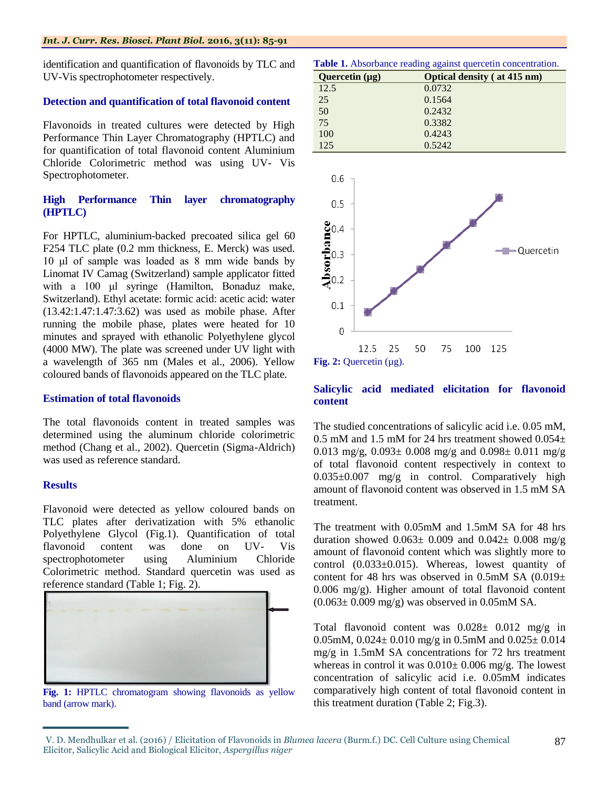identification and quantification of flavonoids by TLC and UV-Vis spectrophotometer respectively.

## **Detection and quantification of total flavonoid content**

Flavonoids in treated cultures were detected by High Performance Thin Layer Chromatography (HPTLC) and for quantification of total flavonoid content Aluminium Chloride Colorimetric method was using UV- Vis Spectrophotometer.

## **High Performance Thin layer chromatography (HPTLC)**

For HPTLC, aluminium-backed precoated silica gel 60 F254 TLC plate (0.2 mm thickness, E. Merck) was used. 10 μl of sample was loaded as 8 mm wide bands by Linomat IV Camag (Switzerland) sample applicator fitted with a 100 μl syringe (Hamilton, Bonaduz make, Switzerland). Ethyl acetate: formic acid: acetic acid: water (13.42:1.47:1.47:3.62) was used as mobile phase. After running the mobile phase, plates were heated for 10 minutes and sprayed with ethanolic Polyethylene glycol (4000 MW). The plate was screened under UV light with a wavelength of 365 nm (Males et al., 2006). Yellow coloured bands of flavonoids appeared on the TLC plate.

## **Estimation of total flavonoids**

The total flavonoids content in treated samples was determined using the aluminum chloride colorimetric method (Chang et al., 2002). Quercetin (Sigma-Aldrich) was used as reference standard.

## **Results**

Flavonoid were detected as yellow coloured bands on TLC plates after derivatization with 5% ethanolic Polyethylene Glycol (Fig.1). Quantification of total flavonoid content was done on UV- Vis spectrophotometer using Aluminium Chloride Colorimetric method. Standard quercetin was used as reference standard (Table 1; Fig. 2).



**Fig. 1:** HPTLC chromatogram showing flavonoids as yellow band (arrow mark).

**Table 1.** Absorbance reading against quercetin concentration.

| Quercetin $(\mu g)$ | <b>Optical density</b> (at 415 nm) |
|---------------------|------------------------------------|
| 12.5                | 0.0732                             |
| 25                  | 0.1564                             |
| 50                  | 0.2432                             |
| 75                  | 0.3382                             |
| 100                 | 0.4243                             |
| 125                 | 0.5242                             |



## **Salicylic acid mediated elicitation for flavonoid content**

The studied concentrations of salicylic acid i.e. 0.05 mM, 0.5 mM and 1.5 mM for 24 hrs treatment showed  $0.054\pm$ 0.013 mg/g,  $0.093 \pm 0.008$  mg/g and  $0.098 \pm 0.011$  mg/g of total flavonoid content respectively in context to 0.035±0.007 mg/g in control. Comparatively high amount of flavonoid content was observed in 1.5 mM SA treatment.

The treatment with 0.05mM and 1.5mM SA for 48 hrs duration showed  $0.063 \pm 0.009$  and  $0.042 \pm 0.008$  mg/g amount of flavonoid content which was slightly more to control  $(0.033\pm0.015)$ . Whereas, lowest quantity of content for 48 hrs was observed in 0.5mM SA  $(0.019 \pm$ 0.006 mg/g). Higher amount of total flavonoid content  $(0.063 \pm 0.009 \text{ mg/g})$  was observed in 0.05mM SA.

Total flavonoid content was  $0.028 \pm 0.012$  mg/g in 0.05mM, 0.024 $\pm$  0.010 mg/g in 0.5mM and 0.025 $\pm$  0.014 mg/g in 1.5mM SA concentrations for 72 hrs treatment whereas in control it was  $0.010 \pm 0.006$  mg/g. The lowest concentration of salicylic acid i.e. 0.05mM indicates comparatively high content of total flavonoid content in this treatment duration (Table 2; Fig.3).

V. D. Mendhulkar et al. (2016) / Elicitation of Flavonoids in *Blumea lacera* (Burm.f.) DC. Cell Culture using Chemical Elicitor, Salicylic Acid and Biological Elicitor, *Aspergillus niger*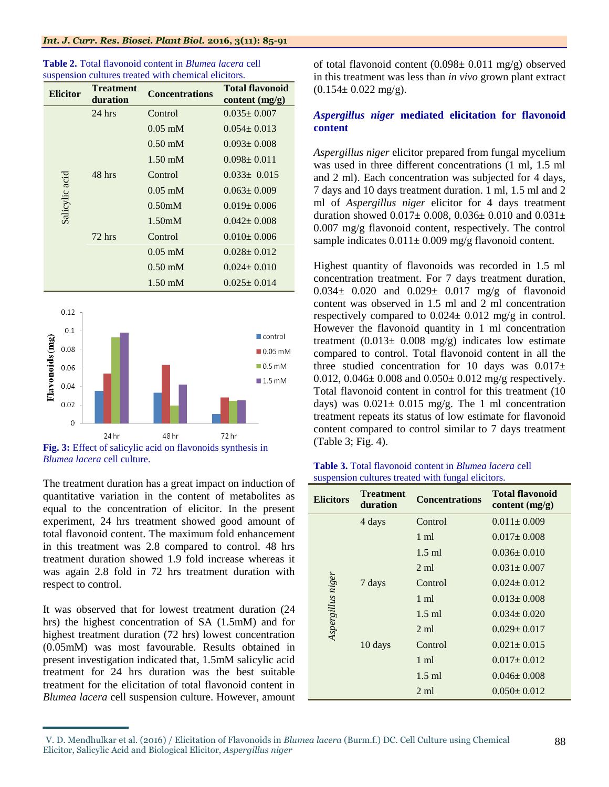| <b>Elicitor</b> | <b>Treatment</b><br>duration | <b>Concentrations</b> | <b>Total flavonoid</b><br>content $(mg/g)$ |
|-----------------|------------------------------|-----------------------|--------------------------------------------|
| Salicylic acid  | $24$ hrs                     | Control               | $0.035 \pm 0.007$                          |
|                 |                              | $0.05$ mM             | $0.054 \pm 0.013$                          |
|                 |                              | $0.50 \text{ mM}$     | $0.093 \pm 0.008$                          |
|                 |                              | $1.50 \text{ mM}$     | $0.098 \pm 0.011$                          |
|                 | 48 hrs                       | Control               | $0.033 \pm 0.015$                          |
|                 |                              | $0.05$ mM             | $0.063 \pm 0.009$                          |
|                 |                              | 0.50 <sub>m</sub> M   | $0.019 \pm 0.006$                          |
|                 |                              | 1.50 <sub>m</sub> M   | $0.042 \pm 0.008$                          |
|                 | $72$ hrs                     | Control               | $0.010 \pm 0.006$                          |
|                 |                              | $0.05 \text{ mM}$     | $0.028 \pm 0.012$                          |
|                 |                              | $0.50 \text{ mM}$     | $0.024 \pm 0.010$                          |
|                 |                              | $1.50 \text{ mM}$     | $0.025 \pm 0.014$                          |

**Table 2.** Total flavonoid content in *Blumea lacera* cell suspension cultures treated with chemical elicitors.



**Fig. 3:** Effect of salicylic acid on flavonoids synthesis in *Blumea lacera* cell culture.

The treatment duration has a great impact on induction of quantitative variation in the content of metabolites as equal to the concentration of elicitor. In the present experiment, 24 hrs treatment showed good amount of total flavonoid content. The maximum fold enhancement in this treatment was 2.8 compared to control. 48 hrs treatment duration showed 1.9 fold increase whereas it was again 2.8 fold in 72 hrs treatment duration with respect to control.

It was observed that for lowest treatment duration (24 hrs) the highest concentration of SA (1.5mM) and for highest treatment duration (72 hrs) lowest concentration (0.05mM) was most favourable. Results obtained in present investigation indicated that, 1.5mM salicylic acid treatment for 24 hrs duration was the best suitable treatment for the elicitation of total flavonoid content in *Blumea lacera* cell suspension culture. However, amount of total flavonoid content  $(0.098 \pm 0.011 \text{ mg/g})$  observed in this treatment was less than *in vivo* grown plant extract  $(0.154 \pm 0.022 \text{ mg/g}).$ 

## *Aspergillus niger* **mediated elicitation for flavonoid content**

*Aspergillus niger* elicitor prepared from fungal mycelium was used in three different concentrations (1 ml, 1.5 ml and 2 ml). Each concentration was subjected for 4 days, 7 days and 10 days treatment duration. 1 ml, 1.5 ml and 2 ml of *Aspergillus niger* elicitor for 4 days treatment duration showed  $0.017 \pm 0.008$ ,  $0.036 \pm 0.010$  and  $0.031 \pm 0.031$ 0.007 mg/g flavonoid content, respectively. The control sample indicates  $0.011 \pm 0.009$  mg/g flavonoid content.

Highest quantity of flavonoids was recorded in 1.5 ml concentration treatment. For 7 days treatment duration, 0.034± 0.020 and 0.029± 0.017 mg/g of flavonoid content was observed in 1.5 ml and 2 ml concentration respectively compared to  $0.024 \pm 0.012$  mg/g in control. However the flavonoid quantity in 1 ml concentration treatment  $(0.013 \pm 0.008 \text{ mg/g})$  indicates low estimate compared to control. Total flavonoid content in all the three studied concentration for 10 days was  $0.017\pm$ 0.012, 0.046 $\pm$  0.008 and 0.050 $\pm$  0.012 mg/g respectively. Total flavonoid content in control for this treatment (10 days) was  $0.021 \pm 0.015$  mg/g. The 1 ml concentration treatment repeats its status of low estimate for flavonoid content compared to control similar to 7 days treatment (Table 3; Fig. 4).

| <b>Table 3.</b> Total flavonoid content in <i>Blumea lacera</i> cell |  |
|----------------------------------------------------------------------|--|
| suspension cultures treated with fungal elicitors.                   |  |

| <b>Elicitors</b>  | <b>Treatment</b><br>duration | <b>Concentrations</b> | <b>Total flavonoid</b><br>content $(mg/g)$ |
|-------------------|------------------------------|-----------------------|--------------------------------------------|
| Aspergillus niger | 4 days                       | Control               | $0.011 \pm 0.009$                          |
|                   |                              | $1 \text{ ml}$        | $0.017 \pm 0.008$                          |
|                   |                              | $1.5$ ml              | $0.036 \pm 0.010$                          |
|                   |                              | $2 \text{ ml}$        | $0.031 \pm 0.007$                          |
|                   | 7 days                       | Control               | $0.024 \pm 0.012$                          |
|                   |                              | $1 \text{ ml}$        | $0.013 \pm 0.008$                          |
|                   |                              | $1.5$ ml              | $0.034 \pm 0.020$                          |
|                   |                              | $2 \text{ ml}$        | $0.029 \pm 0.017$                          |
|                   | 10 days                      | Control               | $0.021 \pm 0.015$                          |
|                   |                              | $1 \text{ ml}$        | $0.017 \pm 0.012$                          |
|                   |                              | $1.5$ ml              | $0.046 \pm 0.008$                          |
|                   |                              | $2 \text{ ml}$        | $0.050 \pm 0.012$                          |

V. D. Mendhulkar et al. (2016) / Elicitation of Flavonoids in *Blumea lacera* (Burm.f.) DC. Cell Culture using Chemical Elicitor, Salicylic Acid and Biological Elicitor, *Aspergillus niger*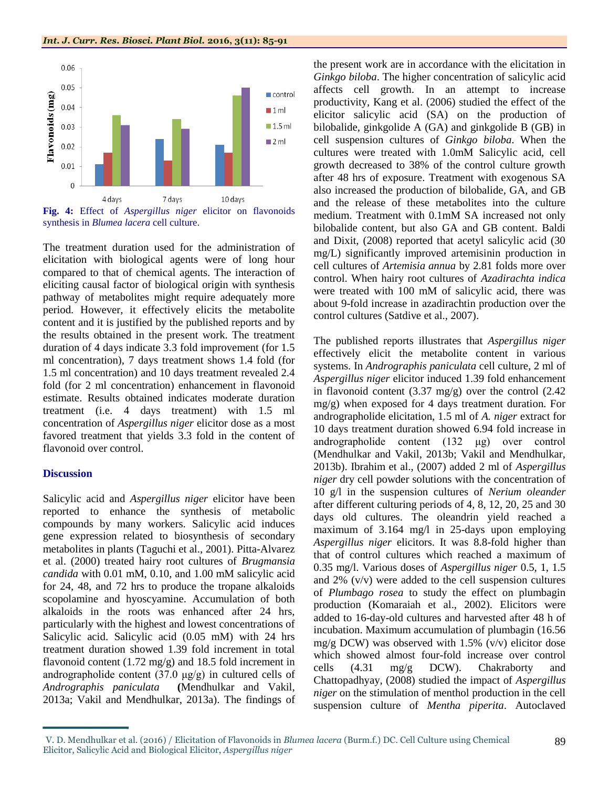

The treatment duration used for the administration of elicitation with biological agents were of long hour compared to that of chemical agents. The interaction of eliciting causal factor of biological origin with synthesis pathway of metabolites might require adequately more period. However, it effectively elicits the metabolite content and it is justified by the published reports and by the results obtained in the present work. The treatment duration of 4 days indicate 3.3 fold improvement (for 1.5 ml concentration), 7 days treatment shows 1.4 fold (for 1.5 ml concentration) and 10 days treatment revealed 2.4 fold (for 2 ml concentration) enhancement in flavonoid estimate. Results obtained indicates moderate duration treatment (i.e. 4 days treatment) with 1.5 ml concentration of *Aspergillus niger* elicitor dose as a most favored treatment that yields 3.3 fold in the content of flavonoid over control.

## **Discussion**

Salicylic acid and *Aspergillus niger* elicitor have been reported to enhance the synthesis of metabolic compounds by many workers. Salicylic acid induces gene expression related to biosynthesis of secondary metabolites in plants (Taguchi et al., 2001). Pitta-Alvarez et al. (2000) treated hairy root cultures of *Brugmansia candida* with 0.01 mM, 0.10, and 1.00 mM salicylic acid for 24, 48, and 72 hrs to produce the tropane alkaloids scopolamine and hyoscyamine. Accumulation of both alkaloids in the roots was enhanced after 24 hrs, particularly with the highest and lowest concentrations of Salicylic acid. Salicylic acid (0.05 mM) with 24 hrs treatment duration showed 1.39 fold increment in total flavonoid content (1.72 mg/g) and 18.5 fold increment in andrographolide content (37.0  $\mu$ g/g) in cultured cells of *Andrographis paniculata* **(**Mendhulkar and Vakil, 2013a; Vakil and Mendhulkar, 2013a). The findings of

the present work are in accordance with the elicitation in *Ginkgo biloba*. The higher concentration of salicylic acid affects cell growth. In an attempt to increase productivity, Kang et al. (2006) studied the effect of the elicitor salicylic acid (SA) on the production of bilobalide, ginkgolide A (GA) and ginkgolide B (GB) in cell suspension cultures of *Ginkgo biloba*. When the cultures were treated with 1.0mM Salicylic acid, cell growth decreased to 38% of the control culture growth after 48 hrs of exposure. Treatment with exogenous SA also increased the production of bilobalide, GA, and GB and the release of these metabolites into the culture medium. Treatment with 0.1mM SA increased not only bilobalide content, but also GA and GB content. Baldi and Dixit, (2008) reported that acetyl salicylic acid (30 mg/L) significantly improved artemisinin production in cell cultures of *Artemisia annua* by 2.81 folds more over control. When hairy root cultures of *Azadirachta indica* were treated with 100 mM of salicylic acid, there was about 9-fold increase in azadirachtin production over the control cultures (Satdive et al., 2007).

The published reports illustrates that *Aspergillus niger* effectively elicit the metabolite content in various systems. In *Andrographis paniculata* cell culture, 2 ml of *Aspergillus niger* elicitor induced 1.39 fold enhancement in flavonoid content (3.37 mg/g) over the control (2.42 mg/g) when exposed for 4 days treatment duration. For andrographolide elicitation, 1.5 ml of *A. niger* extract for 10 days treatment duration showed 6.94 fold increase in andrographolide content (132 μg) over control (Mendhulkar and Vakil, 2013b; Vakil and Mendhulkar, 2013b). Ibrahim et al., (2007) added 2 ml of *Aspergillus niger* dry cell powder solutions with the concentration of 10 g/l in the suspension cultures of *Nerium oleander*  after different culturing periods of 4, 8, 12, 20, 25 and 30 days old cultures. The oleandrin yield reached a maximum of 3.164 mg/l in 25-days upon employing *Aspergillus niger* elicitors. It was 8.8-fold higher than that of control cultures which reached a maximum of 0.35 mg/l. Various doses of *Aspergillus niger* 0.5, 1, 1.5 and 2% (v/v) were added to the cell suspension cultures of *Plumbago rosea* to study the effect on plumbagin production (Komaraiah et al., 2002). Elicitors were added to 16-day-old cultures and harvested after 48 h of incubation. Maximum accumulation of plumbagin (16.56 mg/g DCW) was observed with 1.5%  $(v/v)$  elicitor dose which showed almost four-fold increase over control cells (4.31 mg/g DCW). Chakraborty and Chattopadhyay, (2008) studied the impact of *Aspergillus niger* on the stimulation of menthol production in the cell suspension culture of *Mentha piperita*. Autoclaved

V. D. Mendhulkar et al. (2016) / Elicitation of Flavonoids in *Blumea lacera* (Burm.f.) DC. Cell Culture using Chemical Elicitor, Salicylic Acid and Biological Elicitor, *Aspergillus niger*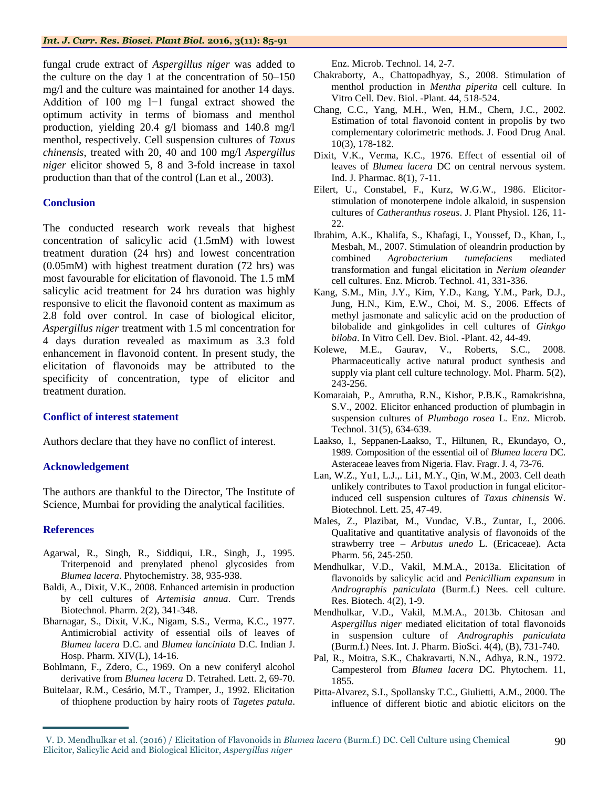#### *Int. J. Curr. Res. Biosci. Plant Biol.* **2016, 3(11): 85-91**

fungal crude extract of *Aspergillus niger* was added to the culture on the day 1 at the concentration of 50–150 mg/l and the culture was maintained for another 14 days. Addition of 100 mg l−1 fungal extract showed the optimum activity in terms of biomass and menthol production, yielding 20.4 g/l biomass and 140.8 mg/l menthol, respectively. Cell suspension cultures of *Taxus chinensis*, treated with 20, 40 and 100 mg/l *Aspergillus niger* elicitor showed 5, 8 and 3-fold increase in taxol production than that of the control (Lan et al., 2003).

#### **Conclusion**

The conducted research work reveals that highest concentration of salicylic acid (1.5mM) with lowest treatment duration (24 hrs) and lowest concentration (0.05mM) with highest treatment duration (72 hrs) was most favourable for elicitation of flavonoid. The 1.5 mM salicylic acid treatment for 24 hrs duration was highly responsive to elicit the flavonoid content as maximum as 2.8 fold over control. In case of biological elicitor, *Aspergillus niger* treatment with 1.5 ml concentration for 4 days duration revealed as maximum as 3.3 fold enhancement in flavonoid content. In present study, the elicitation of flavonoids may be attributed to the specificity of concentration, type of elicitor and treatment duration.

#### **Conflict of interest statement**

Authors declare that they have no conflict of interest.

#### **Acknowledgement**

The authors are thankful to the Director, The Institute of Science, Mumbai for providing the analytical facilities.

#### **References**

- Agarwal, R., Singh, R., Siddiqui, I.R., Singh, J., 1995. Triterpenoid and prenylated phenol glycosides from *Blumea lacera*. Phytochemistry. 38, 935-938.
- Baldi, A., Dixit, V.K., 2008. Enhanced artemisin in production by cell cultures of *Artemisia annua*. Curr. Trends Biotechnol. Pharm. 2(2), 341-348.
- Bharnagar, S., Dixit, V.K., Nigam, S.S., Verma, K.C., 1977. Antimicrobial activity of essential oils of leaves of *Blumea lacera* D.C. and *Blumea lanciniata* D.C. Indian J. Hosp. Pharm. XIV(L), 14-16.
- Bohlmann, F., Zdero, C., 1969. On a new coniferyl alcohol derivative from *Blumea lacera* D. Tetrahed. Lett. 2, 69-70.
- Buitelaar, R.M., Cesário, M.T., Tramper, J., 1992. Elicitation of thiophene production by hairy roots of *Tagetes patula*.

Enz. Microb. Technol. 14, 2-7.

- Chakraborty, A., Chattopadhyay, S., 2008. Stimulation of menthol production in *Mentha piperita* cell culture. In Vitro Cell. Dev. Biol. -Plant. 44, 518-524.
- Chang, C.C., Yang, M.H., Wen, H.M., Chern, J.C., 2002. Estimation of total flavonoid content in propolis by two complementary colorimetric methods. J. Food Drug Anal. 10(3), 178-182.
- Dixit, V.K., Verma, K.C., 1976. Effect of essential oil of leaves of *Blumea lacera* DC on central nervous system. Ind. J. Pharmac. 8(1), 7-11.
- Eilert, U., Constabel, F., Kurz, W.G.W., 1986. Elicitorstimulation of monoterpene indole alkaloid, in suspension cultures of *Catheranthus roseus*. J. Plant Physiol. 126, 11- 22.
- Ibrahim, A.K., Khalifa, S., Khafagi, I., Youssef, D., Khan, I., Mesbah, M., 2007. Stimulation of oleandrin production by combined *Agrobacterium tumefaciens* mediated transformation and fungal elicitation in *Nerium oleander* cell cultures. Enz. Microb. Technol. 41, 331-336.
- Kang, S.M., Min, J.Y., Kim, Y.D., Kang, Y.M., Park, D.J., Jung, H.N., Kim, E.W., Choi, M. S., 2006. Effects of methyl jasmonate and salicylic acid on the production of bilobalide and ginkgolides in cell cultures of *Ginkgo biloba*. In Vitro Cell. Dev. Biol. -Plant. 42, 44-49.
- Kolewe, M.E., Gaurav, V., Roberts, S.C., 2008. Pharmaceutically active natural product synthesis and supply via plant cell culture technology. Mol. Pharm. 5(2), 243-256.
- Komaraiah, P., Amrutha, R.N., Kishor, P.B.K., Ramakrishna, S.V., 2002. Elicitor enhanced production of plumbagin in suspension cultures of *Plumbago rosea* L. Enz. Microb. Technol. 31(5), 634-639.
- Laakso, I., Seppanen-Laakso, T., Hiltunen, R., Ekundayo, O., 1989. Composition of the essential oil of *Blumea lacera* DC. Asteraceae leaves from Nigeria. Flav. Fragr. J. 4, 73-76.
- Lan, W.Z., Yu1, L.J.,. Li1, M.Y., Qin, W.M., 2003. Cell death unlikely contributes to Taxol production in fungal elicitorinduced cell suspension cultures of *Taxus chinensis* W. Biotechnol. Lett. 25, 47-49.
- Males, Z., Plazibat, M., Vundac, V.B., Zuntar, I., 2006. Qualitative and quantitative analysis of flavonoids of the strawberry tree – *Arbutus unedo* L. (Ericaceae). Acta Pharm. 56, 245-250.
- Mendhulkar, V.D., Vakil, M.M.A., 2013a. Elicitation of flavonoids by salicylic acid and *Penicillium expansum* in *Andrographis paniculata* (Burm.f.) Nees. cell culture. Res. Biotech. 4(2), 1-9.
- Mendhulkar, V.D., Vakil, M.M.A., 2013b. Chitosan and *Aspergillus niger* mediated elicitation of total flavonoids in suspension culture of *Andrographis paniculata* (Burm.f.) Nees. Int. J. Pharm. BioSci. 4(4), (B), 731-740.
- Pal, R., Moitra, S.K., Chakravarti, N.N., Adhya, R.N., 1972. Campesterol from *Blumea lacera* DC. Phytochem. 11, 1855.
- Pitta-Alvarez, S.I., Spollansky T.C., Giulietti, A.M., 2000. The influence of different biotic and abiotic elicitors on the

V. D. Mendhulkar et al. (2016) / Elicitation of Flavonoids in *Blumea lacera* (Burm.f.) DC. Cell Culture using Chemical Elicitor, Salicylic Acid and Biological Elicitor, *Aspergillus niger*